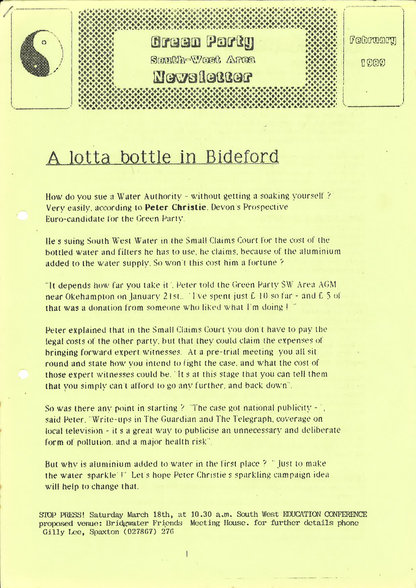

# A lotta bottle in Bideford

How do you sue a Water Authority - without getting a soaking vourself? Very easily, according to Peter Christie, Devon's Prospective Euro-candidate for the Green Party.

Ile's suing South West Water in the Small Claims Court for the cost of the bottled water and filters he has to use, he claims, because of the aluminium added to the water supply. So won't this cost him a fortune ?

"It depends how far you take it". Peter told the Green Party SW Area AGM. near Okehampton on January 21st. Tve spent just £ 10 so far - and £ 5 of that was a donation from someone who liked what I'm doing !"

Peter explained that in the Small Claims Court you don't have to pay the legal costs of the other party, but that they could claim the expenses of bringing forward expert witnesses. At a pre-trial meeting you all sit round and state how you intend to fight the case, and what the cost of those expert witnesses could be. "It s at this stage that you can tell them that you simply can't afford to go any further, and back down".

So was there any point in starting ? "The case got national publicity  $-\frac{1}{2}$ . said Peter. "Write-ups in The Guardian and The Telegraph, coverage on tocal television - it s a great way to publicise an unnecessary and deliberate form of pollution, and a major health risk".

But why is aluminium added to water in the first place ? " Just to make the water sparkle I' Let's hope Peter Christie's sparkling campaign idea will help to change that.

STOP PRESS! Saturday March 18th, at 10.30 a.m. South West EDUCATION CONFERENCE proposed venue: Bridgwater Friends Meeting House. for further details phone Gilly Lee, Spaxton (027867) 276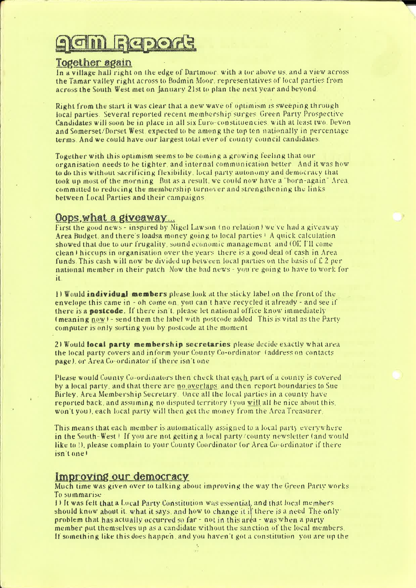# $R_{\text{e}}$

## Iggether again

In a village hall right on the edge of Dartmoor, with a tor above us, and a view across In a village nall right on the eage of Dartmoor, with a tor above us, and a view acro<br>the Tamar valley right across to Bodmin Moor, representatives of local parties from<br>acros<mark>s the South West met</mark> on January 21st to plan

Right from the start it was clear that <sup>a</sup> new wave of optimism is sweeping through locai parties. Several reported recent membership surges Green Party Prospective Candidates will soon be in place in all sis Euro-constituencies with at least two Devon and Somerset/Dorset West expected to be among the top ten nationally in percentage terms- And we could have our largest totai ever ol' county council candidates

Together with this optimism seems to be coming a growing feeling that our organisation needs to be tighter, and internal communication better. And it was how to do this without sacrificing; flexibility. local party autonomy and democracy that took up most of the morning But as a result, we could now have a "born-again" Area. committed to reducing the membership turnover and strengthening the links. between Local Parties and their campaigns

## Oops, what a giveaway...

First the good news - inspired by Nigel LaWson lno relation <sup>3</sup> we've had <sup>a</sup> giveaway Area Budget, and there's loadsa money going to iocal parties <sup>1</sup> A quick calculation showed that due to our frugality, sound economic management and (Di: I'll come clean <sup>I</sup> hiccups in organisation over the years there is <sup>a</sup> good deal of cash in Area funds. This cash will now be divided up between local parties on the basis of  $E_2$  per national member in their patch. Now the bad news - you re going to have to work for it.

 $i$  Would individual members please look at the sticky label on the front of the envelope this came in <sup>~</sup> oh come on, you can't have recycled it already - and see if there is a **postcode**. If there isn't, please let national office know immediately (meaning now) - send them the label with postcode added This is vital as the Party computer is only sorting you by postcode at the moment

2) Would local party membership secretaries please decide exactly what area the local party covers and inform your County Co-ordinator (address on contacts page), or Area Co' ordinator if there isn't one

Please would County Co-ordinators then check that each part of a county is covered by <sup>a</sup> local party. and that there are ng'ogeglaps and then report boundaries to Sue Birley. Area Membership Secretary. Once all the local parties in a county have reported back, and assuming no disputed territory (you will all be nice about this. won't you), each local party will then get the money from the Area Treasurer.

This means that each member is automatically assigned to a local party everywhere in the South-West! If you are not getting a local party/county newsletter (and would like to *l*), please complain to your County Coordinator (or Area Co-ordinator if there isn't onel

## Improving our democracy

Much time was given over to talking about improving the way the Green Party works To summarise

1) It was felt that a Local Party Constitution was essential, and that local members should know about it. what it says, and how to change it if there is a need The only: problem that has actually occurred so far - not in this area - was when a party member put themselves op as <sup>a</sup> candidate without the sanction of the local members. it' something like this does happen and you haven't got <sup>a</sup> constitution you are up the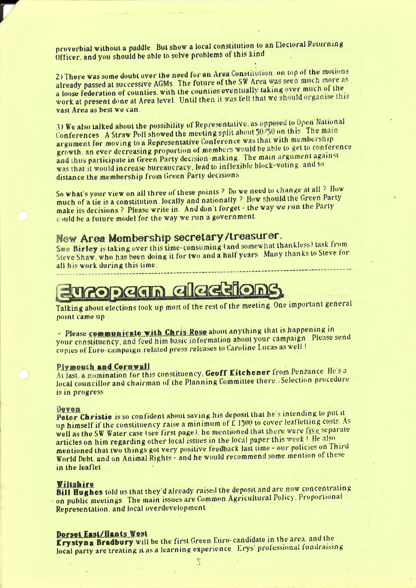proverbial without <sup>a</sup> paddle. But Show <sup>a</sup> local constitution to an Electoral Returning Officer, and you should be able to solve problems of this kind

2) There was some doubt over the need for an Area Constitution, on top of the motions already passed at successive AGMs. The future of the SW Area was seen much more as <sup>a</sup> loose federation of counties. with the counties eventually taking over much of the. work at present done at Area level. Until then it was felt that we should organise this vast Area as best we can.

3) We also talked about the possibility of Representative. as opposed to Open National Conferences A Straw Poll showed the meeting split about 50/50 on this The main argument for moving to a Representative Conference was that with membership growth, an ever decreasing proportion of members would be able to get to conference and thus participate in Green Party decision-making. The main argument against was that it would increase bureaucracy. lead to inflexible block-voting. and so distance the membership from Green Party decisions

So what's your view on all three of these points 7' Do we need to change at all <sup>7</sup>' How much of <sup>a</sup> tie is <sup>a</sup> constitution. locally and nationally ? How should the Green Party make its decisions ? Please write in. And don't forget - the way we run the Party could be a future model for the way we run a government.

## New Area Membership secretary (treasurer.

Sue Birley is taking over this time-consuming (and somewhat thankless) task from Steve Shaw, who has been doing it for two and a half years Many thanks to Steve for all his work during this time.

# **ropagn alaggion**

Talking about elections took up most of the rest of the meeting. One important general point came up

- Please communicate with Chris Rose about anything that is happening in your constituency, and feed him basic information about your campaign. Please send copies of Euro-campaign related press releases to Caroline Lucas as well !

### Plymouth and Cornwall

At last, a nomination for this constituency. Geoff Kitchener from Penzance. He's a local councillor and chairman of the Planning Committee there..Sclection procedure is in progress

Devon<br>Peter Christie is so confident about saving his deposit that he's intending to put it up himself if the constituency raise a minimum of  $\hat{E}$  1500 to cover leafletting costs. As well as the SW Water case (see first page), he mentioned that there were five separate articles on him regarding other local issues in the local paper this week  $\pm$  He also mentioned that two things got very positive feedback last time — our policies on Third World Debt. and on Animal Rights - and he would recommend some mention of these in the leaflet

Willshire<br>Bill Hughes told us that they'd already raised the deposit and are now concentrating on public meetings The main issues are Common Agricultural Policy. Proportional Representation. and local overdevelopment. '

### Dorset East/Hants West

Krystyna Bradbury will be the first Green Euro- candidate in the area. and the local party are treating it as a learning experience Krys' professional fundraising

 $\overline{3}$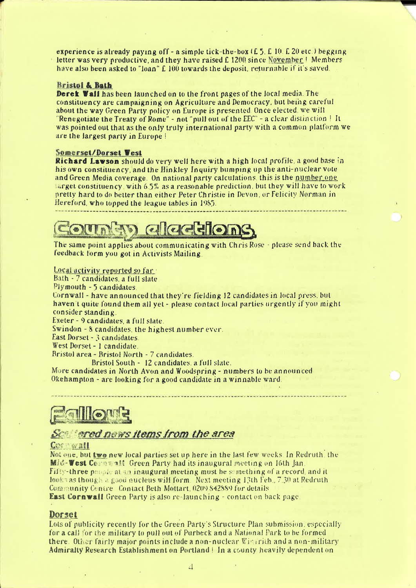experience is already paying off – a simple tick–the-box  $(E_5, E_10, E_20$  etc.) begging letter was very productive, and they have raised  $E$  1200 since November! Members have also been asked to "loan" f. 100 towards the deposit, returnable if it's saved.

#### Bristol & Bath

-

**Deret Wall has been laun ched on to the front pages of the local media. The** constituency are campaigning on Agriculture and Democracy. but being careful about the way Green Party policy on Europe is presented. Once elected, we will "Renegotiate the Treaty of Rome"  $\sim$  not "pull out of the EEC" – a clear distinction I It was pointed out that as the only truly international party with a common platform we are the largest party in Europe !

#### Somerset/Dorset West

Richard Lawson should do very well here with <sup>a</sup> high local profile. <sup>a</sup> good base in his own constituency, and the Hinkley Inquiry bumping up the anti-nuclear vote and Green Media coverage. 0n national party calculations. this is the number one target constituency. with <sup>6</sup> 5% as <sup>a</sup> reasonable prediction. but they will have to work orettv hard to do better than either Peter Christie in Devon, or Felicitv Norman in Hereford, who topped the league tables in 1935.

# **AD alaction**

The same point applies about communicating with Chris Rose - please send back the leedback torm you got in Activists Mailing.

### Local activity reported so far $\cdot$

Bath - 7 candidates, a full slate.

Plymouth - <sup>5</sup> candidates.

Cornwall - have announced that they're fielding <sup>12</sup> candidates in local press. but haven t quite found them all yet - please contact local parties urgently if you might consider standing.

Exeter - 9 candidates, a full slate.

Swindon - 8 candidates, the highest number ever.

East Dorset <sup>~</sup> 3 candidates,

West Dorset - <sup>1</sup> candidate.

firistol area -Bristol North <sup>~</sup> 3' candidates.

Bristol South - 12 candidates, a full slate.

More candidates in North Avon and Woodspring - numbers to he announced Okehampton  $\sim$  are looking for a good candidate in a winnable ward.

allo le

## Settlered news items from the area

#### Core wall

Not one, but two new local parties set up here in the last few weeks. In Redruth, the **Mid-Vest Cornwall: Green Party had its inaugural meeting on 16th Jan.** Filty-three petels at an inaugural meeting must be semething of a record and it looks as though a good nucleus will form. Next meeting 13th Feb., 7.30 at Redruth. Community Centre Contact Beth Mottart, 0209 842889 for details **East Cornwall** Green Party is also re-launching – contact on back page.

#### Dorset

Lots of publicity recently for the Green Party's Structure Plan submission. especially for a call for the military to pull out of Purbeck and a National Park to be formed there. Other fairly major points include a non-nuclear  $\text{Wick}$  rith and a non-military Admiralty Research Establishment on Portland | In a county heavily dependent on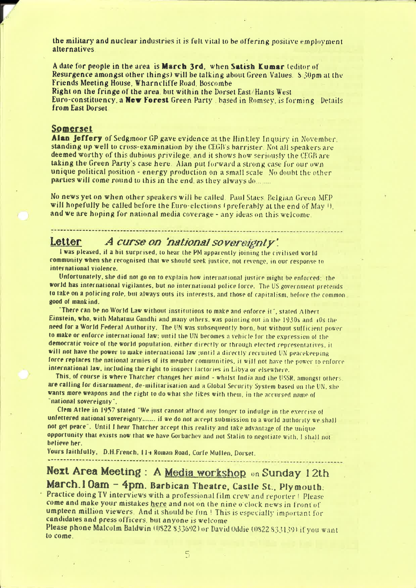the military and nuclear industries it is felt vital to be offering positive employment alternatives

A date for people in the area is March 3rd, when Satish Kumar (editor of Resurgence amongst other things) will be talking about Green Values. S 30pm at the Friends Meeting House, Wharncliffe Road, Boscombe

Right on the fringe of the area, but within the Dorset East/Hants West Euro-constituency, a New Forest Green Party , based in Romsey, is forming Details from East Dorset

### Somerset

Alan **Jeffery** of Sedgmoor GP gave evidence at the Hinkley Inquiry in November. standing up well to cross-examination by the CEGB's barrister. Not all speakers are deemed worthy of this dubious privilege, and it shows how seriously the CEGB are taking the Green Party's case here. Alan put forward a strong case for our own unique political position - energy production on a small scale. No doubt the other parties will come round to this in the end, as they always do.......

No news yet on when other speakers will be called. Paul Staes, Belgian Green MEP will hopefully be called before the Euro-elections (preferably at the end of May 0). and we are hoping for national media coverage - any ideas on this welcome.

#### A curse on 'national sovereignty'. Letter

I was pleased, if a bit surprised, to hear the PM apparently joining the civilised world community when she recognised that we should seek justice, not revenge, in our response to international violence.

Unfortunately, she did not go on to explain how international justice might be enforced; the world has international vigilantes, but no international police force. The US government pretends to take on a policing role, but always outs its interests, and those of capitalism, before the commongood of mankind.

"There can be no World Law without institutions to make and enforce it", stated Albert Einstein, who, with Mahatma Gandhi and many others, was pointing out in the 1930s and 40s the need for a World Federal Authority. The UN was subsequently born, but without sufficient power to make or enforce international law; until the UN becomes a vehicle for the expression of the democratic voice of the world population, either directly or through elected representatives, it will not have the power to make international law ; until a directly recruited UN peacekeeping force replaces the national armies of its member communities, it will not have the power to enforce international law, including the right to inspect lactories in Libya or elsewhere.

This, of course is where Thatcher changes her mind - whilst India and the USSR, amongst others. are calling for disarmament, de-militarisation and a Global Security System based on the UN, she wants more weapons and the right to do what she likes with them, in the accursed name of "national sovereignty".

Clem Atlee in 1957 stated "We just cannot afford any longer to indufge in the exercise of unfettered national sovereignty....... if we do not accept submission to a world authority we shall not get peace". Until I hear Thatcher accept this reality and take advantage of the unique opportunity that exists now that we have Gorbachev and not Stalin to negotiate with, I shall not believe her.

Yours faithfully, D.H.French, 114 Roman Road, Corfe Mullen, Dorset.

## Next Area Meeting: A Media workshop on Sunday 12th March. 1 Oam - 4pm. Barbican Theatre, Castle St., Plymouth.

Practice doing TV interviews with a professional film crew and reporter ! Please come and make your mistakes here and not on the nine o'clock news in front of umpteen million viewers. And it should be fun! This is especially important for candidates and press officers, but anyone is welcome

Please phone Malcolm Baldwin (0822 833692) or David Oddie (0822 833139) if you want to come.